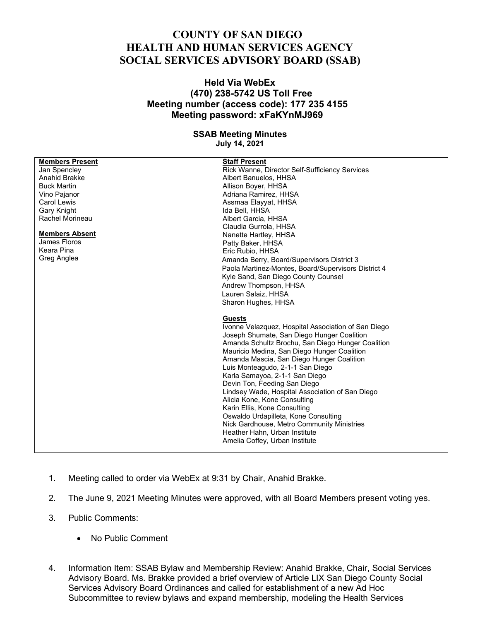## **COUNTY OF SAN DIEGO HEALTH AND HUMAN SERVICES AGENCY SOCIAL SERVICES ADVISORY BOARD (SSAB)**

## **Held Via WebEx (470) 238-5742 US Toll Free Meeting number (access code): 177 235 4155 Meeting password: xFaKYnMJ969**

## **SSAB Meeting Minutes**

**July 14, 2021**

| <b>Members Present</b> | <b>Staff Present</b>                                |
|------------------------|-----------------------------------------------------|
| Jan Spencley           | Rick Wanne, Director Self-Sufficiency Services      |
| Anahid Brakke          | Albert Banuelos, HHSA                               |
| <b>Buck Martin</b>     | Allison Boyer, HHSA                                 |
| Vino Pajanor           | Adriana Ramirez, HHSA                               |
| Carol Lewis            | Assmaa Elayyat, HHSA                                |
| Gary Knight            | Ida Bell, HHSA                                      |
| Rachel Morineau        | Albert Garcia, HHSA                                 |
|                        | Claudia Gurrola, HHSA                               |
| <b>Members Absent</b>  | Nanette Hartley, HHSA                               |
| James Floros           | Patty Baker, HHSA                                   |
| Keara Pina             | Eric Rubio, HHSA                                    |
| Greg Anglea            | Amanda Berry, Board/Supervisors District 3          |
|                        | Paola Martinez-Montes, Board/Supervisors District 4 |
|                        | Kyle Sand, San Diego County Counsel                 |
|                        | Andrew Thompson, HHSA                               |
|                        | Lauren Salaiz, HHSA                                 |
|                        | Sharon Hughes, HHSA                                 |
|                        |                                                     |
|                        | <b>Guests</b>                                       |
|                        | Ivonne Velazquez, Hospital Association of San Diego |
|                        | Joseph Shumate, San Diego Hunger Coalition          |
|                        | Amanda Schultz Brochu, San Diego Hunger Coalition   |
|                        | Mauricio Medina, San Diego Hunger Coalition         |
|                        | Amanda Mascia, San Diego Hunger Coalition           |
|                        | Luis Monteagudo, 2-1-1 San Diego                    |
|                        | Karla Samayoa, 2-1-1 San Diego                      |
|                        | Devin Ton, Feeding San Diego                        |
|                        | Lindsey Wade, Hospital Association of San Diego     |
|                        | Alicia Kone, Kone Consulting                        |
|                        | Karin Ellis, Kone Consulting                        |
|                        | Oswaldo Urdapilleta, Kone Consulting                |
|                        | Nick Gardhouse, Metro Community Ministries          |
|                        | Heather Hahn, Urban Institute                       |
|                        | Amelia Coffey, Urban Institute                      |
|                        |                                                     |

- 1. Meeting called to order via WebEx at 9:31 by Chair, Anahid Brakke.
- 2. The June 9, 2021 Meeting Minutes were approved, with all Board Members present voting yes.
- 3. Public Comments:
	- No Public Comment
- 4. Information Item: SSAB Bylaw and Membership Review: Anahid Brakke, Chair, Social Services Advisory Board. Ms. Brakke provided a brief overview of Article LIX San Diego County Social Services Advisory Board Ordinances and called for establishment of a new Ad Hoc Subcommittee to review bylaws and expand membership, modeling the Health Services